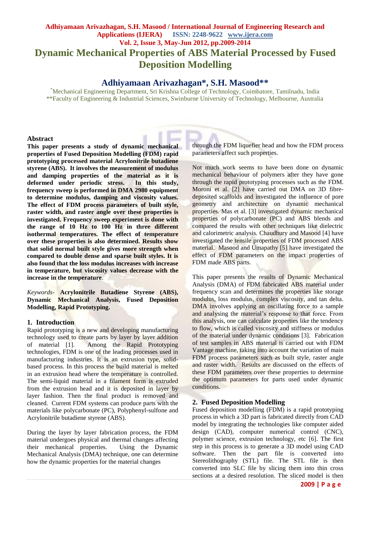# **Adhiyamaan Arivazhagan, S.H. Masood / International Journal of Engineering Research and Applications (IJERA) ISSN: 2248-9622 www.ijera.com Vol. 2, Issue 3, May-Jun 2012, pp.2009-2014 Dynamic Mechanical Properties of ABS Material Processed by Fused Deposition Modelling**

# **Adhiyamaan Arivazhagan\*, S.H. Masood\*\***

\*Mechanical Engineering Department, Sri Krishna College of Technology, Coimbatore, Tamilnadu, India \*\*Faculty of Engineering & Industrial Sciences, Swinburne University of Technology, Melbourne, Australia

#### **Abstract**

**This paper presents a study of dynamic mechanical properties of Fused Deposition Modelling (FDM) rapid prototyping processed material Acrylonitrile butadiene styrene (ABS). It involves the measurement of modulus and damping properties of the material as it is deformed under periodic stress. In this study, frequency sweep is performed in DMA 2980 equipment to determine modulus, damping and viscosity values. The effect of FDM process parameters of built style, raster width, and raster angle over these properties is investigated. Frequency sweep experiment is done with the range of 10 Hz to 100 Hz in three different isothermal temperatures. The effect of temperature over these properties is also determined. Results show that solid normal built style gives more strength when compared to double dense and sparse built styles. It is also found that the loss modulus increases with increase in temperature, but viscosity values decrease with the increase in the temperature**.

*Keywords*- **Acrylonitrile Butadiene Styrene (ABS), Dynamic Mechanical Analysis, Fused Deposition Modelling, Rapid Prototyping.**

#### **1. Introduction**

Rapid prototyping is a new and developing manufacturing technology used to create parts by layer by layer addition<br>of material [1]. Among the Rapid Prototyping Among the Rapid Prototyping technologies, FDM is one of the leading processes used in manufacturing industries. It is an extrusion type, solidbased process. In this process the build material is melted in an extrusion head where the temperature is controlled. The semi-liquid material in a filament form is extruded from the extrusion head and it is deposited in layer by layer fashion. Then the final product is removed and cleaned. Current FDM systems can produce parts with the materials like polycarbonate (PC), Polyphenyl-sulfone and Acrylonitrile butadiene styrene (ABS).

During the layer by layer fabrication process, the FDM material undergoes physical and thermal changes affecting their mechanical properties. Using the Dynamic Mechanical Analysis (DMA) technique, one can determine how the dynamic properties for the material changes

through the FDM liquefier head and how the FDM process parameters affect such properties.

Not much work seems to have been done on dynamic mechanical behaviour of polymers after they have gone through the rapid prototyping processes such as the FDM. Moroni et al. [2] have carried out DMA on 3D fibredeposited scaffolds and investigated the influence of pore geometry and architecture on dynamic mechanical properties. Mas et al. [3] investigated dynamic mechanical properties of polycarbonate (PC) and ABS blends and compared the results with other techniques like dielectric and calorimetric analysis. Chaudhury and Masood [4] have investigated the tensile properties of FDM processed ABS material. Masood and Umapathy [5] have investigated the effect of FDM parameters on the impact properties of FDM made ABS parts.

This paper presents the results of Dynamic Mechanical Analysis (DMA) of FDM fabricated ABS material under frequency scan and determines the properties like storage modulus, loss modulus, complex viscosity, and tan delta. DMA involves applying an oscillating force to a sample and analysing the material's response to that force. From this analysis, one can calculate properties like the tendency to flow, which is called viscosity and stiffness or modulus of the material under dynamic conditions [3]. Fabrication of test samples in ABS material is carried out with FDM Vantage machine, taking into account the variation of main FDM process parameters such as built style, raster angle and raster width. Results are discussed on the effects of these FDM parameters over these properties to determine the optimum parameters for parts used under dynamic conditions.

#### **2. Fused Deposition Modelling**

Fused deposition modelling (FDM) is a rapid prototyping process in which a 3D part is fabricated directly from CAD model by integrating the technologies like computer aided design (CAD), computer numerical control (CNC), polymer science, extrusion technology, etc [6]. The first step in this process is to generate a 3D model using CAD software. Then the part file is converted into Stereolithography (STL) file. The STL file is then converted into SLC file by slicing them into thin cross sections at a desired resolution. The sliced model is then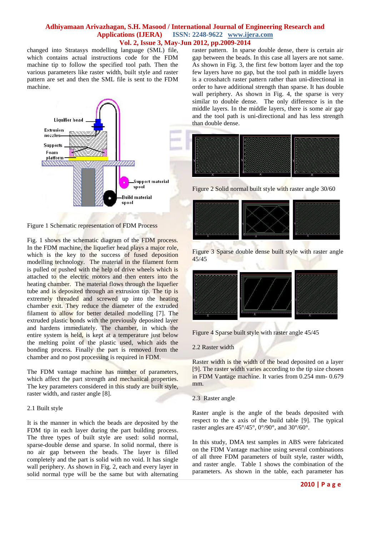changed into Stratasys modelling language (SML) file, which contains actual instructions code for the FDM machine tip to follow the specified tool path. Then the various parameters like raster width, built style and raster pattern are set and then the SML file is sent to the FDM machine.



Figure 1 Schematic representation of FDM Process

Fig. 1 shows the schematic diagram of the FDM process. In the FDM machine, the liquefier head plays a major role, which is the key to the success of fused deposition modelling technology. The material in the filament form is pulled or pushed with the help of drive wheels which is attached to the electric motors and then enters into the heating chamber. The material flows through the liquefier tube and is deposited through an extrusion tip. The tip is extremely threaded and screwed up into the heating chamber exit. They reduce the diameter of the extruded filament to allow for better detailed modelling [7]. The extruded plastic bonds with the previously deposited layer and hardens immediately. The chamber, in which the entire system is held, is kept at a temperature just below the melting point of the plastic used, which aids the bonding process. Finally the part is removed from the chamber and no post processing is required in FDM.

The FDM vantage machine has number of parameters, which affect the part strength and mechanical properties. The key parameters considered in this study are built style, raster width, and raster angle [8].

#### 2.1 Built style

It is the manner in which the beads are deposited by the FDM tip in each layer during the part building process. The three types of built style are used: solid normal, sparse-double dense and sparse. In solid normal, there is no air gap between the beads. The layer is filled completely and the part is solid with no void. It has single wall periphery. As shown in Fig. 2, each and every layer in solid normal type will be the same but with alternating

raster pattern. In sparse double dense, there is certain air gap between the beads. In this case all layers are not same. As shown in Fig. 3, the first few bottom layer and the top few layers have no gap, but the tool path in middle layers is a crosshatch raster pattern rather than uni-directional in order to have additional strength than sparse. It has double wall periphery. As shown in Fig. 4, the sparse is very similar to double dense. The only difference is in the middle layers. In the middle layers, there is some air gap and the tool path is uni-directional and has less strength than double dense.



Figure 2 Solid normal built style with raster angle 30/60



Figure 3 Sparse double dense built style with raster angle 45/45



Figure 4 Sparse built style with raster angle 45/45

2.2 Raster width

Raster width is the width of the bead deposited on a layer [9]. The raster width varies according to the tip size chosen in FDM Vantage machine. It varies from 0.254 mm- 0.679 mm.

2.3 Raster angle

Raster angle is the angle of the beads deposited with respect to the x axis of the build table [9]. The typical raster angles are 45°/45°, 0°/90°, and 30°/60°.

In this study, DMA test samples in ABS were fabricated on the FDM Vantage machine using several combinations of all three FDM parameters of built style, raster width, and raster angle. Table 1 shows the combination of the parameters. As shown in the table, each parameter has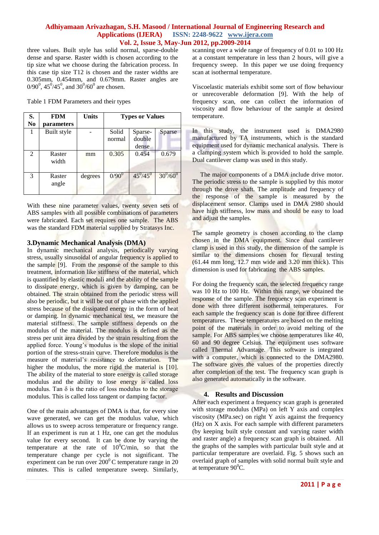three values. Built style has solid normal, sparse-double dense and sparse. Raster width is chosen according to the tip size what we choose during the fabrication process. In this case tip size T12 is chosen and the raster widths are 0.305mm, 0.454mm, and 0.679mm. Raster angles are  $0/90^0$ ,  $45^0/45^0$ , and  $30^0/60^0$  are chosen.

Table 1 FDM Parameters and their types

| S.             | FDM             | <b>Units</b> | <b>Types or Values</b> |                            |                 |
|----------------|-----------------|--------------|------------------------|----------------------------|-----------------|
| N <sub>0</sub> | parameters      |              |                        |                            |                 |
|                | Built style     |              | Solid<br>normal        | Sparse-<br>double<br>dense | Sparse          |
| 2              | Raster<br>width | mm           | 0.305                  | 0.454                      | 0.679           |
| 3              | Raster<br>angle | degrees      | $0/90^{0}$             | $45^{0}/45^{0}$            | $30^{0}/60^{0}$ |

With these nine parameter values, twenty seven sets of ABS samples with all possible combinations of parameters were fabricated. Each set requires one sample. The ABS was the standard FDM material supplied by Stratasys Inc.

#### **3.Dynamic Mechanical Analysis (DMA)**

In dynamic mechanical analysis, periodically varying stress, usually sinusoidal of angular frequency is applied to the sample [9]. From the response of the sample to this treatment, information like stiffness of the material, which is quantified by elastic moduli and the ability of the sample to dissipate energy, which is given by damping, can be obtained. The strain obtained from the periodic stress will also be periodic, but it will be out of phase with the applied stress because of the dissipated energy in the form of heat or damping. In dynamic mechanical test, we measure the material stiffness. The sample stiffness depends on the modulus of the material. The modulus is defined as the stress per unit area divided by the strain resulting from the applied force. Young's modulus is the slope of the initial portion of the stress-strain curve. Therefore modulus is the measure of material's resistance to deformation. The higher the modulus, the more rigid the material is [10]. The ability of the material to store energy is called storage modulus and the ability to lose energy is called loss modulus. Tan  $\delta$  is the ratio of loss modulus to the storage modulus. This is called loss tangent or damping factor.

One of the main advantages of DMA is that, for every sine wave generated, we can get the modulus value, which allows us to sweep across temperature or frequency range. If an experiment is run at 1 Hz, one can get the modulus value for every second. It can be done by varying the temperature at the rate of  $10^{\circ}$ C/min, so that the temperature change per cycle is not significant. The experiment can be run over  $200^{\circ}$ C temperature range in 20 minutes. This is called temperature sweep. Similarly, scanning over a wide range of frequency of 0.01 to 100 Hz at a constant temperature in less than 2 hours, will give a frequency sweep. In this paper we use doing frequency scan at isothermal temperature.

Viscoelastic materials exhibit some sort of flow behaviour or unrecoverable deformation [9]. With the help of frequency scan, one can collect the information of viscosity and flow behaviour of the sample at desired temperature.

In this study, the instrument used is DMA2980 manufactured by TA instruments, which is the standard equipment used for dynamic mechanical analysis. There is a clamping system which is provided to hold the sample. Dual cantilever clamp was used in this study.

The major components of a DMA include drive motor. The periodic stress to the sample is supplied by this motor through the drive shaft. The amplitude and frequency of the response of the sample is measured by the displacement sensor. Clamps used in DMA 2980 should have high stiffness, low mass and should be easy to load and adjust the samples.

The sample geometry is chosen according to the clamp chosen in the DMA equipment. Since dual cantilever clamp is used in this study, the dimension of the sample is similar to the dimensions chosen for flexural testing  $(61.44 \text{ mm long}, 12.7 \text{ mm wide and } 3.20 \text{ mm thick})$ . This dimension is used for fabricating the ABS samples.

For doing the frequency scan, the selected frequency range was 10 Hz to 100 Hz. Within this range, we obtained the response of the sample. The frequency scan experiment is done with three different isothermal temperatures. For each sample the frequency scan is done for three different temperatures. These temperatures are based on the melting point of the materials in order to avoid melting of the sample. For ABS samples we choose temperatures like 40, 60 and 90 degree Celsius. The equipment uses software called Thermal Advantage. This software is integrated with a computer, which is connected to the DMA2980. The software gives the values of the properties directly after completion of the test. The frequency scan graph is also generated automatically in the software.

# **4. Results and Discussion**

After each experiment a frequency scan graph is generated with storage modulus (MPa) on left Y axis and complex viscosity (MPa.sec) on right Y axis against the frequency (Hz) on X axis. For each sample with different parameters (by keeping built style constant and varying raster width and raster angle) a frequency scan graph is obtained. All the graphs of the samples with particular built style and at particular temperature are overlaid. Fig. 5 shows such an overlaid graph of samples with solid normal built style and at temperature  $90^0C$ .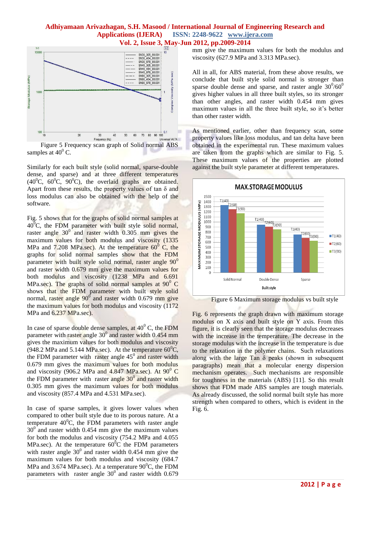

Figure 5 Frequency scan graph of Solid normal ABS samples at  $40^{\circ}$  C.

Similarly for each built style (solid normal, sparse-double dense, and sparse) and at three different temperatures  $(40^0C, 60^0C, 90^0C)$ , the overlaid graphs are obtained. Apart from these results, the property values of tan  $\delta$  and loss modulus can also be obtained with the help of the software.

Fig. 5 shows that for the graphs of solid normal samples at  $40^{\circ}$ C, the FDM parameter with built style solid normal, raster angle  $30^{\circ}$  and raster width 0.305 mm gives the maximum values for both modulus and viscosity (1335) MPa and 7.208 MPa.sec). At the temperature  $60^{\circ}$  C, the graphs for solid normal samples show that the FDM parameter with built style solid normal, raster angle  $90^0$ and raster width 0.679 mm give the maximum values for both modulus and viscosity (1238 MPa and 6.691 MPa.sec). The graphs of solid normal samples at  $90^{\circ}$  C shows that the FDM parameter with built style solid normal, raster angle 90<sup>0</sup> and raster width 0.679 mm give the maximum values for both modulus and viscosity (1172 MPa and 6.237 MPa.sec).

In case of sparse double dense samples, at  $40^{\circ}$  C, the FDM parameter with raster angle 30<sup>0</sup> and raster width 0.454 mm gives the maximum values for both modulus and viscosity (948.2 MPa and 5.144 MPa.sec). At the temperature  $60^{\circ}$ C, the FDM parameter with raster angle  $45^{\circ}$  and raster width 0.679 mm gives the maximum values for both modulus and viscosity (906.2 MPa and 4.847 MPa.sec). At  $90^{\circ}$  C the FDM parameter with raster angle  $30^{\circ}$  and raster width 0.305 mm gives the maximum values for both modulus and viscosity (857.4 MPa and 4.531 MPa.sec).

In case of sparse samples, it gives lower values when compared to other built style due to its porous nature. At a temperature  $40^{\circ}$ C, the FDM parameters with raster angle  $30^{\circ}$  and raster width 0.454 mm give the maximum values for both the modulus and viscosity (754.2 MPa and 4.055 MPa.sec). At the temperature  $60^{\circ}$ C the FDM parameters with raster angle  $30^{\circ}$  and raster width 0.454 mm give the maximum values for both modulus and viscosity (684.7 MPa and 3.674 MPa.sec). At a temperature  $90^{\circ}$ C, the FDM parameters with raster angle  $30^{\circ}$  and raster width 0.679 mm give the maximum values for both the modulus and viscosity (627.9 MPa and 3.313 MPa.sec).

All in all, for ABS material, from these above results, we conclude that built style solid normal is stronger than sparse double dense and sparse, and raster angle  $30^0/60^0$ gives higher values in all three built styles, so its stronger than other angles, and raster width 0.454 mm gives maximum values in all the three built style, so it's better than other raster width.

As mentioned earlier, other than frequency scan, some property values like loss modulus, and tan delta have been obtained in the experimental run. These maximum values are taken from the graphs which are similar to Fig. 5. These maximum values of the properties are plotted against the built style parameter at different temperatures.



Figure 6 Maximum storage modulus vs built style

Fig. 6 represents the graph drawn with maximum storage modulus on X axis and built style on Y axis. From this figure, it is clearly seen that the storage modulus decreases with the increase in the temperature. The decrease in the storage modulus with the increase in the temperature is due to the relaxation in the polymer chains. Such relaxations along with the large Tan  $\delta$  peaks (shown in subsequent paragraphs) mean that a molecular energy dispersion mechanism operates. Such mechanisms are responsible for toughness in the materials (ABS) [11]. So this result shows that FDM made ABS samples are tough materials. As already discussed, the solid normal built style has more strength when compared to others, which is evident in the Fig. 6.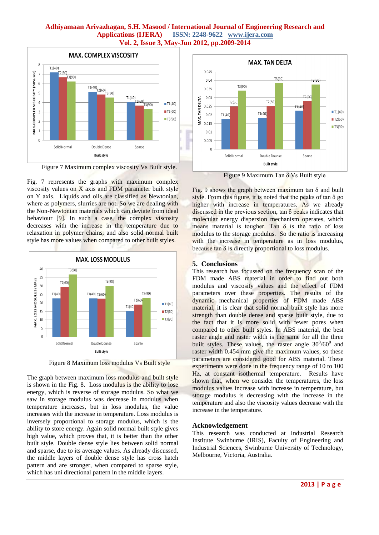

Figure 7 Maximum complex viscosity Vs Built style.

Fig. 7 represents the graphs with maximum complex viscosity values on  $X$  axis and FDM parameter built style on Y axis. Liquids and oils are classified as Newtonian, where as polymers, slurries are not. So we are dealing with the Non-Newtonian materials which can deviate from ideal behaviour [9]. In such a case, the complex viscosity decreases with the increase in the temperature due to relaxation in polymer chains, and also solid normal built style has more values when compared to other built styles.



Figure 8 Maximum loss modulus Vs Built style

The graph between maximum loss modulus and built style is shown in the Fig. 8. Loss modulus is the ability to lose energy, which is reverse of storage modulus. So what we saw in storage modulus was decrease in modulus when temperature increases, but in loss modulus, the value increases with the increase in temperature. Loss modulus is inversely proportional to storage modulus, which is the ability to store energy. Again solid normal built style gives high value, which proves that, it is better than the other built style. Double dense style lies between solid normal and sparse, due to its average values. As already discussed, the middle layers of double dense style has cross hatch pattern and are stronger, when compared to sparse style, which has uni directional pattern in the middle layers.



Figure 9 Maximum Tan δ Vs Built style

Fig. 9 shows the graph between maximum tan  $\delta$  and built style. From this figure, it is noted that the peaks of tan  $\delta$  go higher with increase in temperatures. As we already discussed in the previous section,  $\tan \delta$  peaks indicates that molecular energy dispersion mechanism operates, which means material is tougher. Tan  $\delta$  is the ratio of loss modulus to the storage modulus. So the ratio is increasing with the increase in temperature as in loss modulus, because tan  $\delta$  is directly proportional to loss modulus.

# **5. Conclusions**

This research has focussed on the frequency scan of the FDM made ABS material in order to find out both modulus and viscosity values and the effect of FDM parameters over these properties. The results of the dynamic mechanical properties of FDM made ABS material, it is clear that solid normal built style has more strength than double dense and sparse built style, due to the fact that it is more solid with fewer pores when compared to other built styles. In ABS material, the best raster angle and raster width is the same for all the three built styles. These values, the raster angle  $30^{0}/60^{0}$  and raster width 0.454 mm give the maximum values, so these parameters are considered good for ABS material. These experiments were done in the frequency range of 10 to 100 Hz, at constant isothermal temperature. Results have shown that, when we consider the temperatures, the loss modulus values increase with increase in temperature, but storage modulus is decreasing with the increase in the temperature and also the viscosity values decrease with the increase in the temperature.

# **Acknowledgement**

This research was conducted at Industrial Research Institute Swinburne (IRIS), Faculty of Engineering and Industrial Sciences, Swinburne University of Technology, Melbourne, Victoria, Australia.